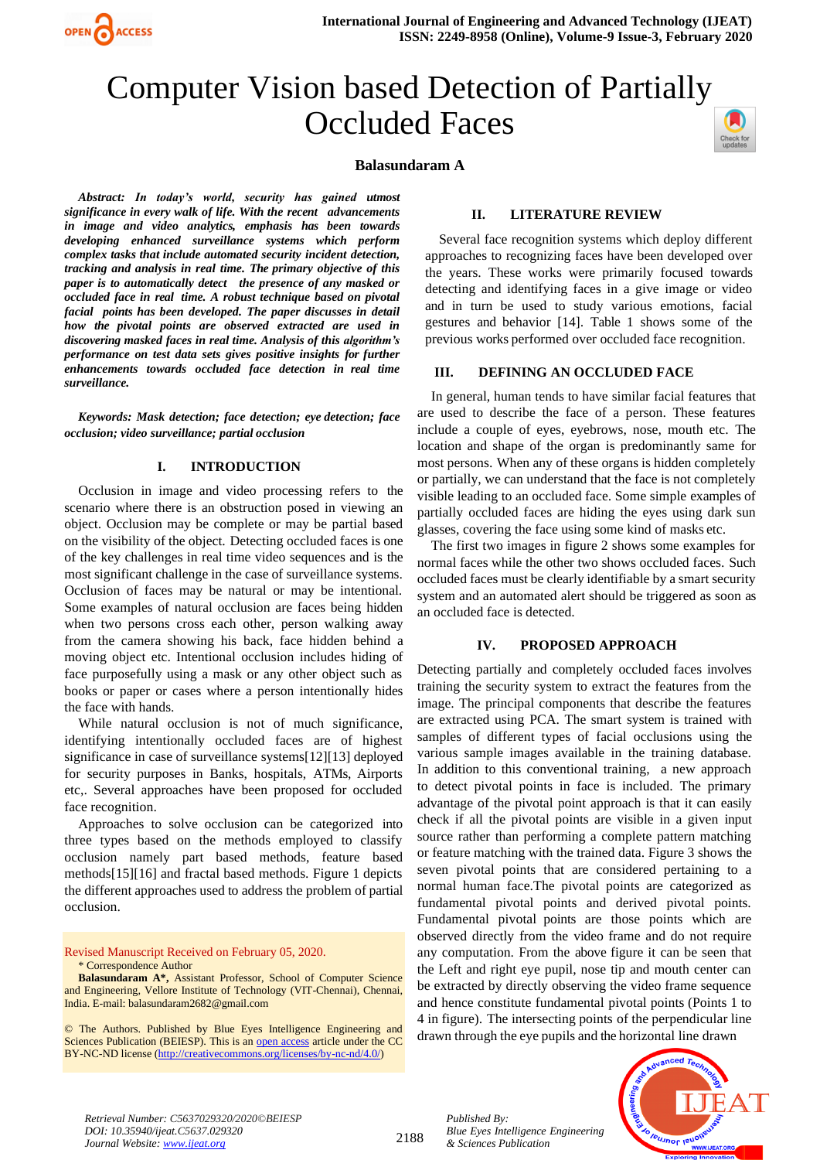



*Abstract: In today's world, security has gained utmost significance in every walk of life. With the recent advancements in image and video analytics, emphasis has been towards developing enhanced surveillance systems which perform complex tasks that include automated security incident detection, tracking and analysis in real time. The primary objective of this paper is to automatically detect the presence of any masked or occluded face in real time. A robust technique based on pivotal facial points has been developed. The paper discusses in detail how the pivotal points are observed extracted are used in discovering masked faces in real time. Analysis of this algorithm's performance on test data sets gives positive insights for further enhancements towards occluded face detection in real time surveillance.*

*Keywords: Mask detection; face detection; eye detection; face occlusion; video surveillance; partial occlusion*

## **I. INTRODUCTION**

Occlusion in image and video processing refers to the scenario where there is an obstruction posed in viewing an object. Occlusion may be complete or may be partial based on the visibility of the object. Detecting occluded faces is one of the key challenges in real time video sequences and is the most significant challenge in the case of surveillance systems. Occlusion of faces may be natural or may be intentional. Some examples of natural occlusion are faces being hidden when two persons cross each other, person walking away from the camera showing his back, face hidden behind a moving object etc. Intentional occlusion includes hiding of face purposefully using a mask or any other object such as books or paper or cases where a person intentionally hides the face with hands.

While natural occlusion is not of much significance, identifying intentionally occluded faces are of highest significance in case of surveillance systems[12][13] deployed for security purposes in Banks, hospitals, ATMs, Airports etc,. Several approaches have been proposed for occluded face recognition.

Approaches to solve occlusion can be categorized into three types based on the methods employed to classify occlusion namely part based methods, feature based methods[15][16] and fractal based methods. Figure 1 depicts the different approaches used to address the problem of partial occlusion.

Revised Manuscript Received on February 05, 2020. \* Correspondence Author

# **II. LITERATURE REVIEW**

Several face recognition systems which deploy different approaches to recognizing faces have been developed over the years. These works were primarily focused towards detecting and identifying faces in a give image or video and in turn be used to study various emotions, facial gestures and behavior [14]. Table 1 shows some of the previous works performed over occluded face recognition.

# **III. DEFINING AN OCCLUDED FACE**

In general, human tends to have similar facial features that are used to describe the face of a person. These features include a couple of eyes, eyebrows, nose, mouth etc. The location and shape of the organ is predominantly same for most persons. When any of these organs is hidden completely or partially, we can understand that the face is not completely visible leading to an occluded face. Some simple examples of partially occluded faces are hiding the eyes using dark sun glasses, covering the face using some kind of masks etc.

The first two images in figure 2 shows some examples for normal faces while the other two shows occluded faces. Such occluded faces must be clearly identifiable by a smart security system and an automated alert should be triggered as soon as an occluded face is detected.

## **IV. PROPOSED APPROACH**

Detecting partially and completely occluded faces involves training the security system to extract the features from the image. The principal components that describe the features are extracted using PCA. The smart system is trained with samples of different types of facial occlusions using the various sample images available in the training database. In addition to this conventional training, a new approach to detect pivotal points in face is included. The primary advantage of the pivotal point approach is that it can easily check if all the pivotal points are visible in a given input source rather than performing a complete pattern matching or feature matching with the trained data. Figure 3 shows the seven pivotal points that are considered pertaining to a normal human face.The pivotal points are categorized as fundamental pivotal points and derived pivotal points. Fundamental pivotal points are those points which are observed directly from the video frame and do not require any computation. From the above figure it can be seen that the Left and right eye pupil, nose tip and mouth center can be extracted by directly observing the video frame sequence and hence constitute fundamental pivotal points (Points 1 to 4 in figure). The intersecting points of the perpendicular line drawn through the eye pupils and the horizontal line drawn



*Retrieval Number: C5637029320/2020©BEIESP DOI: 10.35940/ijeat.C5637.029320 Journal Website[: www.ijeat.org](http://www.ijeat.org/)*

**Balasundaram A\*,** Assistant Professor, School of Computer Science and Engineering, Vellore Institute of Technology (VIT-Chennai), Chennai, India. E-mail[: balasundaram2682@gmail.com](mailto:balasundaram2682@gmail.com)

<sup>©</sup> The Authors. Published by Blue Eyes Intelligence Engineering and Sciences Publication (BEIESP). This is an [open access](https://www.openaccess.nl/en/open-publications) article under the CC BY-NC-ND license [\(http://creativecommons.org/licenses/by-nc-nd/4.0/\)](http://creativecommons.org/licenses/by-nc-nd/4.0/)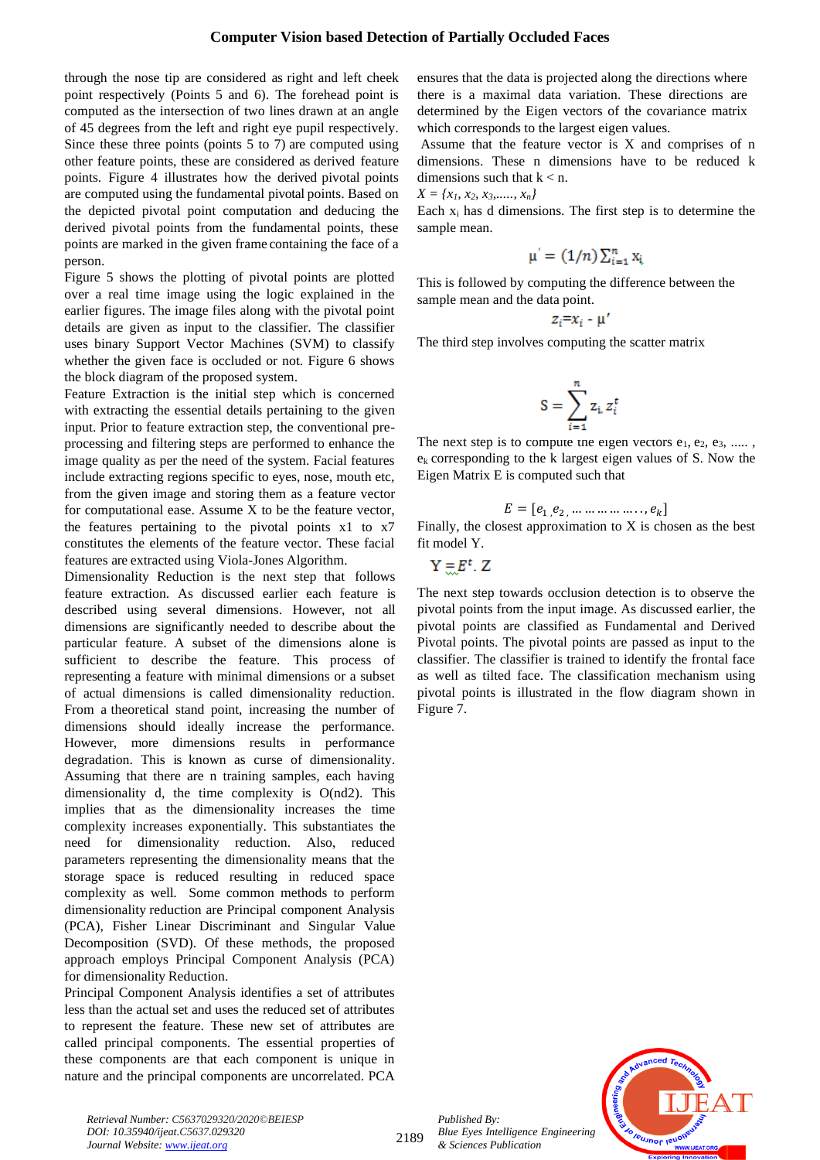through the nose tip are considered as right and left cheek point respectively (Points 5 and 6). The forehead point is computed as the intersection of two lines drawn at an angle of 45 degrees from the left and right eye pupil respectively. Since these three points (points 5 to 7) are computed using other feature points, these are considered as derived feature points. Figure 4 illustrates how the derived pivotal points are computed using the fundamental pivotal points. Based on the depicted pivotal point computation and deducing the derived pivotal points from the fundamental points, these points are marked in the given frame containing the face of a person.

Figure 5 shows the plotting of pivotal points are plotted over a real time image using the logic explained in the earlier figures. The image files along with the pivotal point details are given as input to the classifier. The classifier uses binary Support Vector Machines (SVM) to classify whether the given face is occluded or not. Figure 6 shows the block diagram of the proposed system.

Feature Extraction is the initial step which is concerned with extracting the essential details pertaining to the given input. Prior to feature extraction step, the conventional preprocessing and filtering steps are performed to enhance the image quality as per the need of the system. Facial features include extracting regions specific to eyes, nose, mouth etc, from the given image and storing them as a feature vector for computational ease. Assume X to be the feature vector, the features pertaining to the pivotal points x1 to x7 constitutes the elements of the feature vector. These facial features are extracted using Viola-Jones Algorithm.

Dimensionality Reduction is the next step that follows feature extraction. As discussed earlier each feature is described using several dimensions. However, not all dimensions are significantly needed to describe about the particular feature. A subset of the dimensions alone is sufficient to describe the feature. This process of representing a feature with minimal dimensions or a subset of actual dimensions is called dimensionality reduction. From a theoretical stand point, increasing the number of dimensions should ideally increase the performance. However, more dimensions results in performance degradation. This is known as curse of dimensionality. Assuming that there are n training samples, each having dimensionality d, the time complexity is O(nd2). This implies that as the dimensionality increases the time complexity increases exponentially. This substantiates the need for dimensionality reduction. Also, reduced parameters representing the dimensionality means that the storage space is reduced resulting in reduced space complexity as well. Some common methods to perform dimensionality reduction are Principal component Analysis (PCA), Fisher Linear Discriminant and Singular Value Decomposition (SVD). Of these methods, the proposed approach employs Principal Component Analysis (PCA) for dimensionality Reduction.

Principal Component Analysis identifies a set of attributes less than the actual set and uses the reduced set of attributes to represent the feature. These new set of attributes are called principal components. The essential properties of these components are that each component is unique in nature and the principal components are uncorrelated. PCA ensures that the data is projected along the directions where there is a maximal data variation. These directions are determined by the Eigen vectors of the covariance matrix which corresponds to the largest eigen values.

Assume that the feature vector is X and comprises of n dimensions. These n dimensions have to be reduced k dimensions such that  $k < n$ .

*X = {x1, x2, x3,....., xn}*

Each  $x_i$  has d dimensions. The first step is to determine the sample mean.

$$
\mu' = (1/n) \sum_{i=1}^n x_i
$$

This is followed by computing the difference between the sample mean and the data point.

$$
z_i = x_i - \mu'
$$

The third step involves computing the scatter matrix

$$
S = \sum_{i=1}^{n} z_i z_i^t
$$

The next step is to compute the eigen vectors  $e_1, e_2, e_3, \ldots$ , ek corresponding to the k largest eigen values of S. Now the Eigen Matrix E is computed such that

$$
E = [e_{1}, e_{2}, \dots \dots \dots \dots \dots e_{k}]
$$

Finally, the closest approximation to  $X$  is chosen as the best fit model Y.

 $Y = E^t$ . Z

The next step towards occlusion detection is to observe the pivotal points from the input image. As discussed earlier, the pivotal points are classified as Fundamental and Derived Pivotal points. The pivotal points are passed as input to the classifier. The classifier is trained to identify the frontal face as well as tilted face. The classification mechanism using pivotal points is illustrated in the flow diagram shown in Figure 7.



*Retrieval Number: C5637029320/2020©BEIESP DOI: 10.35940/ijeat.C5637.029320 Journal Website: [www.ijeat.org](http://www.ijeat.org/)*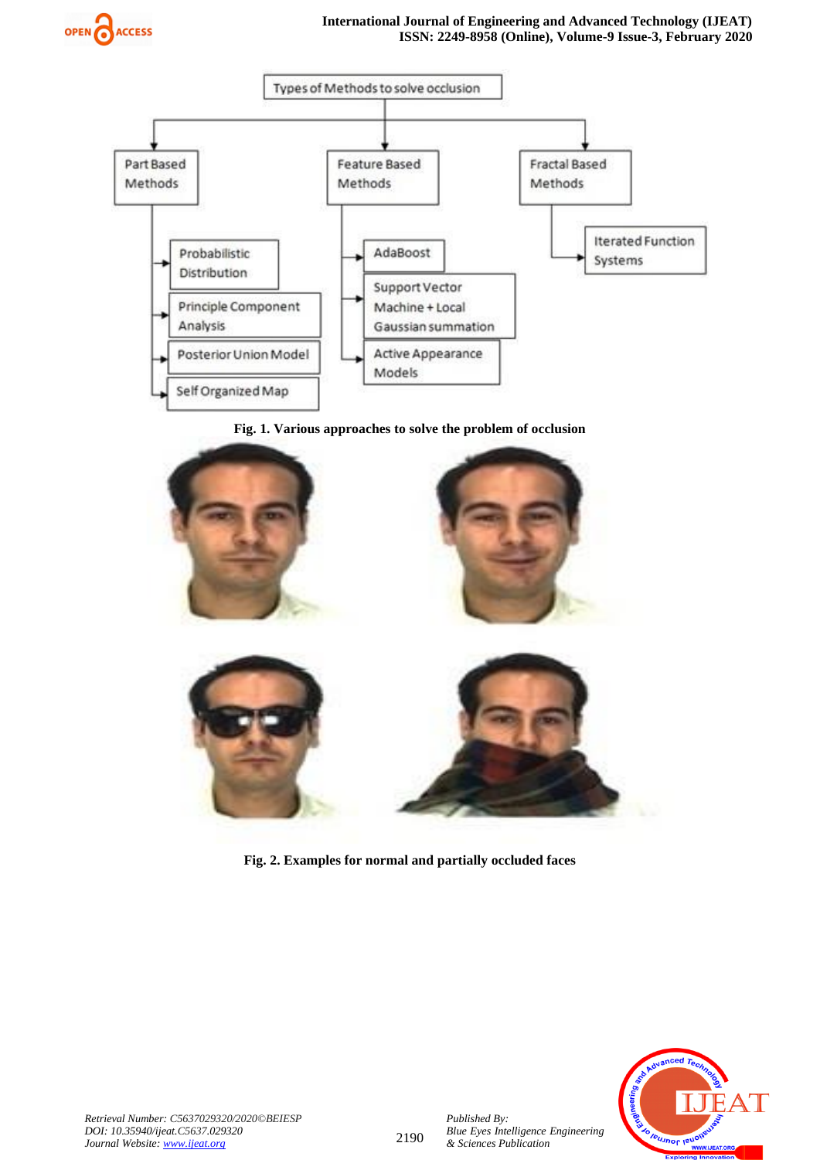



**Fig. 1. Various approaches to solve the problem of occlusion**



**Fig. 2. Examples for normal and partially occluded faces**



*Published By:*

*& Sciences Publication*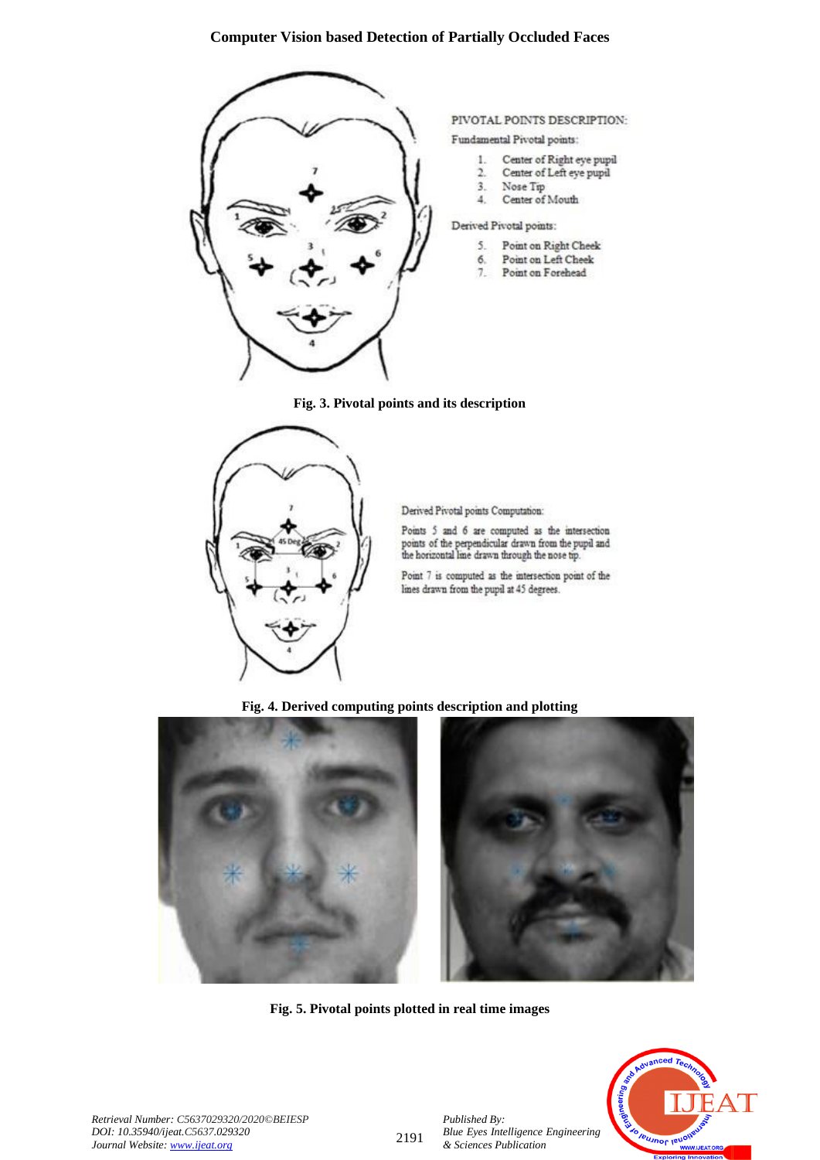

#### PIVOTAL POINTS DESCRIPTION:

Fundamental Pivotal points:

- 1. Center of Right eye pupil
- $2.$ Center of Left eye pupil
- Nose Tip  $3.$
- 4. Center of Mouth

#### Derived Pivotal points:

- 5. Point on Right Cheek
- Point on Left Cheek 6.
- Point on Forehead 7.

**Fig. 3. Pivotal points and its description**



Derived Pivotal points Computation:

Points 5 and 6 are computed as the intersection points of the perpendicular drawn from the pupil and the horizontal line drawn through the nose tip.

Point 7 is computed as the intersection point of the lines drawn from the pupil at 45 degrees.

#### **Fig. 4. Derived computing points description and plotting**



**Fig. 5. Pivotal points plotted in real time images**



*Retrieval Number: C5637029320/2020©BEIESP DOI: 10.35940/ijeat.C5637.029320 Journal Website[: www.ijeat.org](http://www.ijeat.org/)*

2191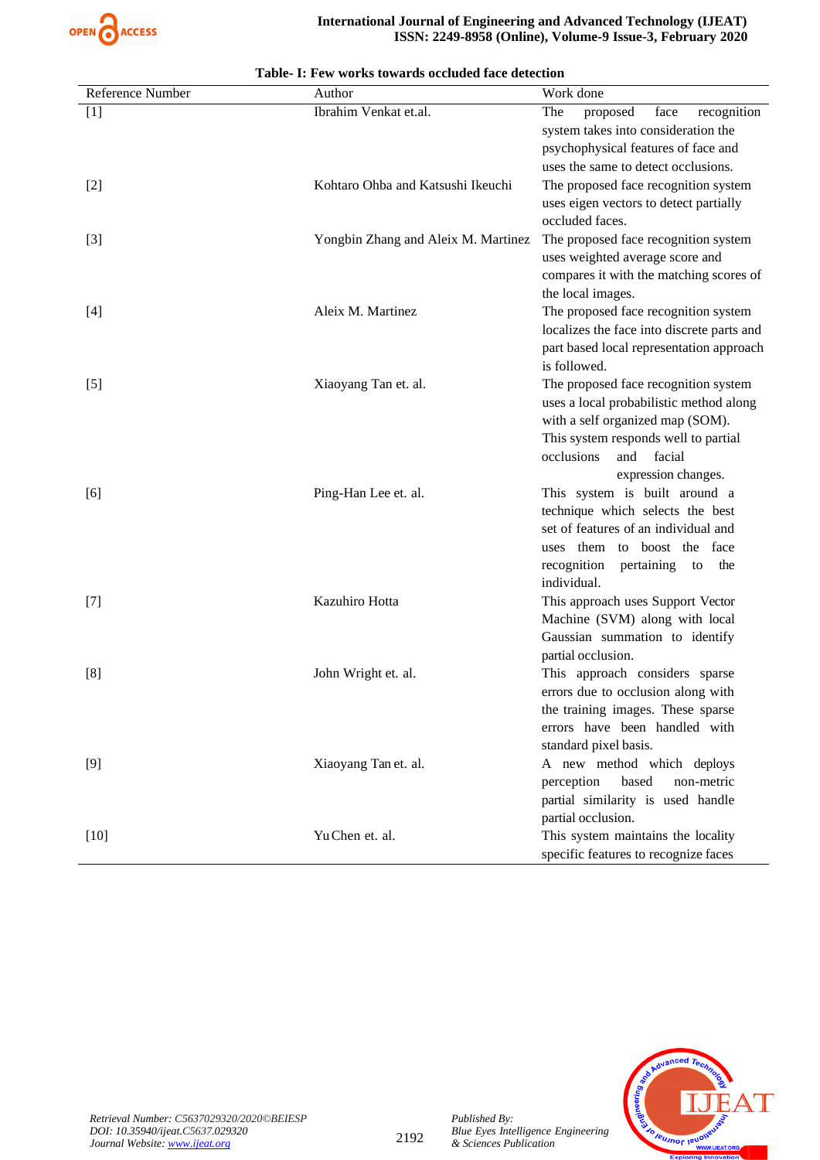

| Reference Number | Author                              | Work done                                                                                                                                                                                                         |
|------------------|-------------------------------------|-------------------------------------------------------------------------------------------------------------------------------------------------------------------------------------------------------------------|
| $[1]$            | Ibrahim Venkat et.al.               | The<br>face<br>recognition<br>proposed<br>system takes into consideration the<br>psychophysical features of face and<br>uses the same to detect occlusions.                                                       |
| $[2]$            | Kohtaro Ohba and Katsushi Ikeuchi   | The proposed face recognition system<br>uses eigen vectors to detect partially<br>occluded faces.                                                                                                                 |
| $[3]$            | Yongbin Zhang and Aleix M. Martinez | The proposed face recognition system<br>uses weighted average score and<br>compares it with the matching scores of<br>the local images.                                                                           |
| $[4]$            | Aleix M. Martinez                   | The proposed face recognition system<br>localizes the face into discrete parts and<br>part based local representation approach<br>is followed.                                                                    |
| $[5]$            | Xiaoyang Tan et. al.                | The proposed face recognition system<br>uses a local probabilistic method along<br>with a self organized map (SOM).<br>This system responds well to partial<br>occlusions<br>and<br>facial<br>expression changes. |
| [6]              | Ping-Han Lee et. al.                | This system is built around a<br>technique which selects the best<br>set of features of an individual and<br>uses them to boost the face<br>recognition<br>pertaining to<br>the<br>individual.                    |
| $[7]$            | Kazuhiro Hotta                      | This approach uses Support Vector<br>Machine (SVM) along with local<br>Gaussian summation to identify<br>partial occlusion.                                                                                       |
| [8]              | John Wright et. al.                 | This approach considers sparse<br>errors due to occlusion along with<br>the training images. These sparse<br>errors have been handled with<br>standard pixel basis.                                               |
| $[9]$            | Xiaoyang Tan et. al.                | A new method which deploys<br>based<br>perception<br>non-metric<br>partial similarity is used handle<br>partial occlusion.                                                                                        |
| $[10]$           | Yu Chen et. al.                     | This system maintains the locality<br>specific features to recognize faces                                                                                                                                        |

#### **Table- I: Few works towards occluded face detection**

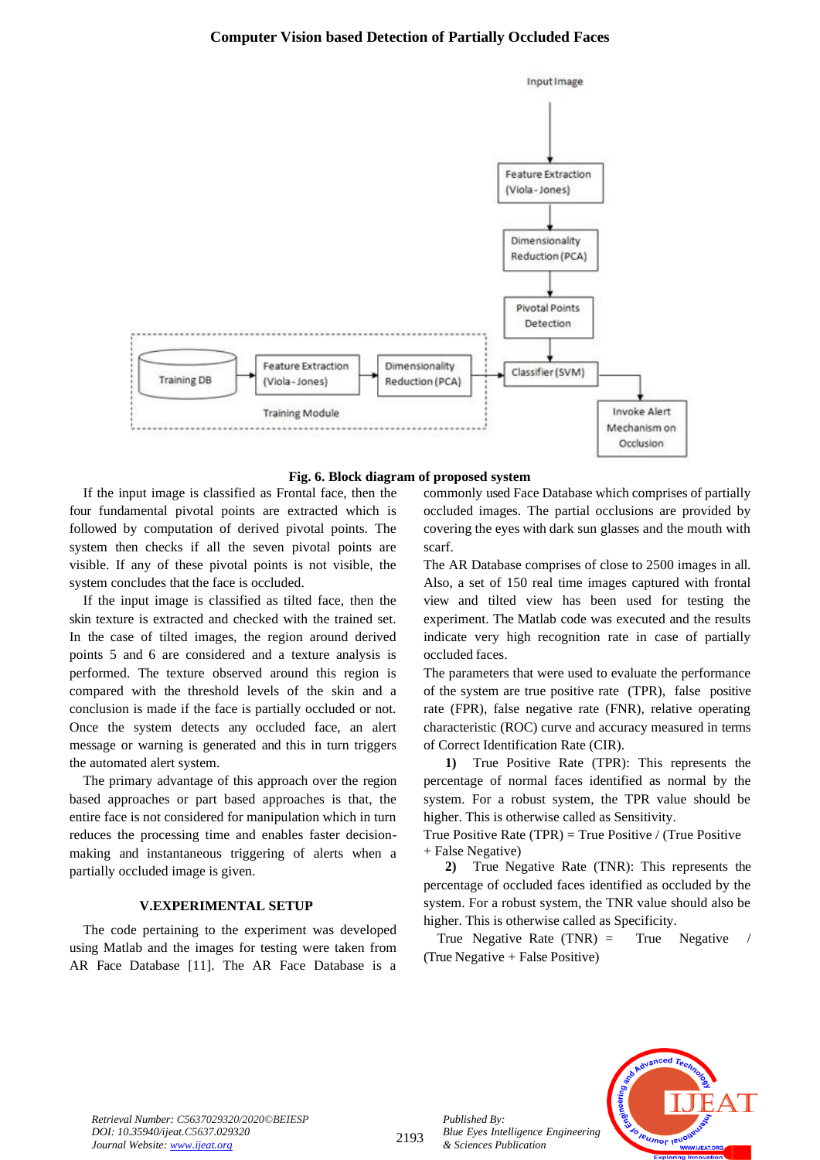



If the input image is classified as Frontal face, then the four fundamental pivotal points are extracted which is followed by computation of derived pivotal points. The system then checks if all the seven pivotal points are visible. If any of these pivotal points is not visible, the system concludes that the face is occluded.

If the input image is classified as tilted face, then the skin texture is extracted and checked with the trained set. In the case of tilted images, the region around derived points 5 and 6 are considered and a texture analysis is performed. The texture observed around this region is compared with the threshold levels of the skin and a conclusion is made if the face is partially occluded or not. Once the system detects any occluded face, an alert message or warning is generated and this in turn triggers the automated alert system.

The primary advantage of this approach over the region based approaches or part based approaches is that, the entire face is not considered for manipulation which in turn reduces the processing time and enables faster decisionmaking and instantaneous triggering of alerts when a partially occluded image is given.

#### **V.EXPERIMENTAL SETUP**

The code pertaining to the experiment was developed using Matlab and the images for testing were taken from AR Face Database [11]. The AR Face Database is a

commonly used Face Database which comprises of partially occluded images. The partial occlusions are provided by covering the eyes with dark sun glasses and the mouth with scarf.

The AR Database comprises of close to 2500 images in all. Also, a set of 150 real time images captured with frontal view and tilted view has been used for testing the experiment. The Matlab code was executed and the results indicate very high recognition rate in case of partially occluded faces.

The parameters that were used to evaluate the performance of the system are true positive rate (TPR), false positive rate (FPR), false negative rate (FNR), relative operating characteristic (ROC) curve and accuracy measured in terms of Correct Identification Rate (CIR).

**1)** True Positive Rate (TPR): This represents the percentage of normal faces identified as normal by the system. For a robust system, the TPR value should be higher. This is otherwise called as Sensitivity.

True Positive Rate (TPR) = True Positive / (True Positive + False Negative)

**2)** True Negative Rate (TNR): This represents the percentage of occluded faces identified as occluded by the system. For a robust system, the TNR value should also be higher. This is otherwise called as Specificity.

True Negative Rate  $(TNR) = True$  Negative / (True Negative + False Positive)



*Retrieval Number: C5637029320/2020©BEIESP DOI: 10.35940/ijeat.C5637.029320 Journal Website[: www.ijeat.org](http://www.ijeat.org/)*

*Published By:*

*& Sciences Publication*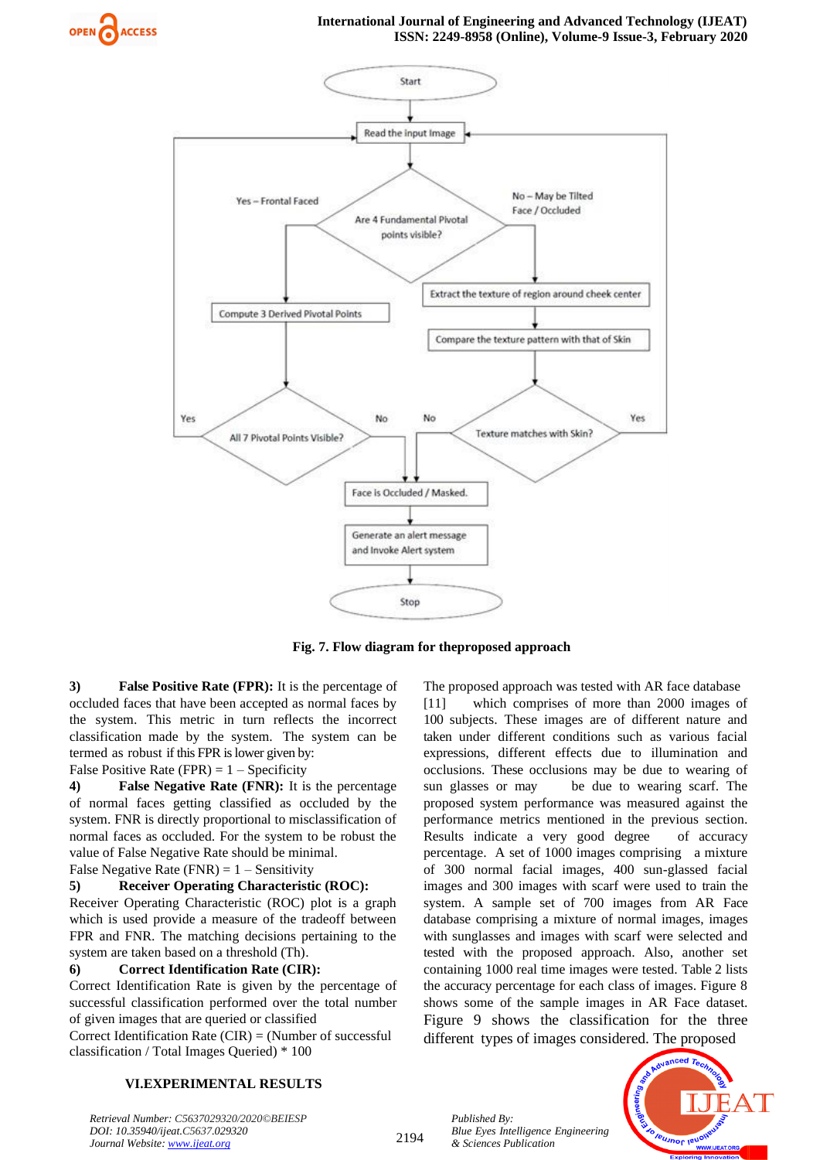

#### **International Journal of Engineering and Advanced Technology (IJEAT) ISSN: 2249-8958 (Online), Volume-9 Issue-3, February 2020**



**Fig. 7. Flow diagram for theproposed approach**

**3) False Positive Rate (FPR):** It is the percentage of occluded faces that have been accepted as normal faces by the system. This metric in turn reflects the incorrect classification made by the system. The system can be termed as robust if this FPR is lower given by:

# False Positive Rate (FPR) =  $1 -$  Specificity

**4) False Negative Rate (FNR):** It is the percentage of normal faces getting classified as occluded by the system. FNR is directly proportional to misclassification of normal faces as occluded. For the system to be robust the value of False Negative Rate should be minimal.

# False Negative Rate (FNR) =  $1 -$  Sensitivity

# **5) Receiver Operating Characteristic (ROC):**

Receiver Operating Characteristic (ROC) plot is a graph which is used provide a measure of the tradeoff between FPR and FNR. The matching decisions pertaining to the system are taken based on a threshold (Th).

#### **6) Correct Identification Rate (CIR):**

Correct Identification Rate is given by the percentage of successful classification performed over the total number of given images that are queried or classified

Correct Identification Rate  $(CIR) = (Number of successful)$ classification / Total Images Queried) \* 100

#### **VI.EXPERIMENTAL RESULTS**

The proposed approach was tested with AR face database [11] which comprises of more than 2000 images of 100 subjects. These images are of different nature and taken under different conditions such as various facial expressions, different effects due to illumination and occlusions. These occlusions may be due to wearing of sun glasses or may be due to wearing scarf. The proposed system performance was measured against the performance metrics mentioned in the previous section. Results indicate a very good degree of accuracy percentage. A set of 1000 images comprising a mixture of 300 normal facial images, 400 sun-glassed facial images and 300 images with scarf were used to train the system. A sample set of 700 images from AR Face database comprising a mixture of normal images, images with sunglasses and images with scarf were selected and tested with the proposed approach. Also, another set containing 1000 real time images were tested. Table 2 lists the accuracy percentage for each class of images. Figure 8 shows some of the sample images in AR Face dataset. Figure 9 shows the classification for the three different types of images considered. The proposed



*Retrieval Number: C5637029320/2020©BEIESP DOI: 10.35940/ijeat.C5637.029320 Journal Website[: www.ijeat.org](http://www.ijeat.org/)*

2194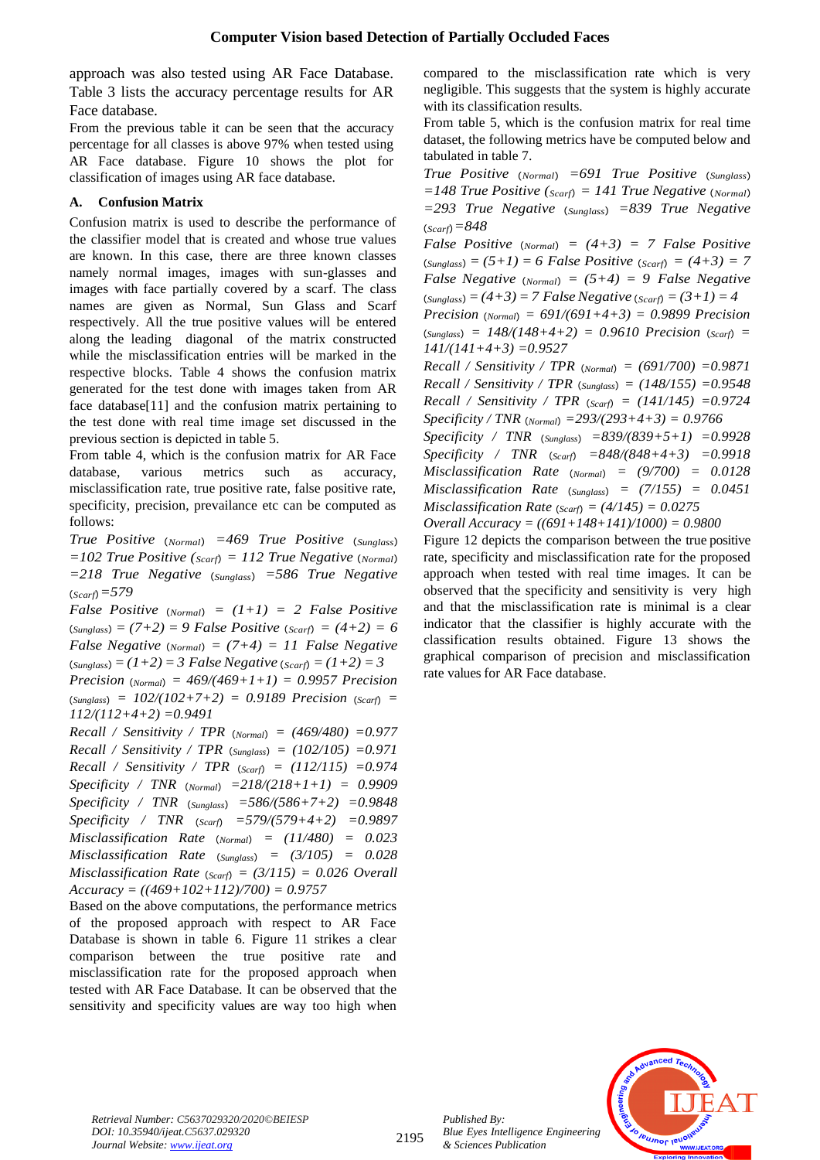approach was also tested using AR Face Database. Table 3 lists the accuracy percentage results for AR Face database.

From the previous table it can be seen that the accuracy percentage for all classes is above 97% when tested using AR Face database. Figure 10 shows the plot for classification of images using AR face database.

# **A. Confusion Matrix**

Confusion matrix is used to describe the performance of the classifier model that is created and whose true values are known. In this case, there are three known classes namely normal images, images with sun-glasses and images with face partially covered by a scarf. The class names are given as Normal, Sun Glass and Scarf respectively. All the true positive values will be entered along the leading diagonal of the matrix constructed while the misclassification entries will be marked in the respective blocks. Table 4 shows the confusion matrix generated for the test done with images taken from AR face database[11] and the confusion matrix pertaining to the test done with real time image set discussed in the previous section is depicted in table 5.

From table 4, which is the confusion matrix for AR Face database, various metrics such as accuracy, misclassification rate, true positive rate, false positive rate, specificity, precision, prevailance etc can be computed as follows:

*True Positive* (*Normal*) *=469 True Positive* (*Sunglass*) *=102 True Positive (Scarf*) *= 112 True Negative* (*Normal*) *=218 True Negative* (*Sunglass*) *=586 True Negative*  (*Scarf*)*=579*

*False Positive* (*Normal*) *= (1+1) = 2 False Positive*  $(s_{unglass}) = (7+2) = 9$  *False Positive*  $(s_{carf}) = (4+2) = 6$ *False Negative* (*Normal*) *= (7+4) = 11 False Negative*  $(s_{unglass}) = (1+2) = 3$  False *Negative*  $(s_{carf}) = (1+2) = 3$ 

*Precision* (*Normal*) *= 469/(469+1+1) = 0.9957 Precision*   $(s_{unglass}) = 102/(102+7+2) = 0.9189$  Precision  $(s_{carf}) =$ *112/(112+4+2) =0.9491*

*Recall / Sensitivity / TPR* (*Normal*) *= (469/480) =0.977 Recall / Sensitivity / TPR* (*Sunglass*) *= (102/105) =0.971 Recall / Sensitivity / TPR* (*Scarf*) *= (112/115) =0.974 Specificity / TNR* (*Normal*) *=218/(218+1+1) = 0.9909 Specificity / TNR* (*Sunglass*) *=586/(586+7+2) =0.9848 Specificity / TNR* (*Scarf*) *=579/(579+4+2) =0.9897 Misclassification Rate* (*Normal*) *= (11/480) = 0.023 Misclassification Rate* (*Sunglass*) *= (3/105) = 0.028 Misclassification Rate* (*Scarf*) *= (3/115) = 0.026 Overall Accuracy = ((469+102+112)/700) = 0.9757*

Based on the above computations, the performance metrics of the proposed approach with respect to AR Face Database is shown in table 6. Figure 11 strikes a clear comparison between the true positive rate and misclassification rate for the proposed approach when tested with AR Face Database. It can be observed that the sensitivity and specificity values are way too high when compared to the misclassification rate which is very negligible. This suggests that the system is highly accurate with its classification results.

From table 5, which is the confusion matrix for real time dataset, the following metrics have be computed below and tabulated in table 7.

*True Positive* (*Normal*) *=691 True Positive* (*Sunglass*) *=148 True Positive (Scarf*) *= 141 True Negative* (*Normal*) *=293 True Negative* (*Sunglass*) *=839 True Negative*  (*Scarf*)*=848*

*False Positive* (*Normal*) *= (4+3) = 7 False Positive*  $(s_{unglass}) = (5+1) = 6$  False Positive  $(s_{carf}) = (4+3) = 7$ *False Negative* (*Normal*) *= (5+4) = 9 False Negative*  $(Sunglass) = (4+3) = 7$  False Negative  $(Scarf) = (3+1) = 4$ *Precision* (*Normal*) *= 691/(691+4+3) = 0.9899 Precision*   $(s_{unglass})$  = 148/(148+4+2) = 0.9610 Precision  $(s_{carf})$  = *141/(141+4+3) =0.9527*

*Recall / Sensitivity / TPR* (*Normal*) *= (691/700) =0.9871 Recall / Sensitivity / TPR* (*Sunglass*) *= (148/155) =0.9548 Recall / Sensitivity / TPR* (*Scarf*) *= (141/145) =0.9724 Specificity / TNR* (*Normal*) *=293/(293+4+3) = 0.9766*

*Specificity / TNR* (*Sunglass*) *=839/(839+5+1) =0.9928 Specificity / TNR* (*Scarf*) *=848/(848+4+3) =0.9918 Misclassification Rate* (*Normal*) *= (9/700) = 0.0128 Misclassification Rate* (*Sunglass*) *= (7/155) = 0.0451 Misclassification Rate* (*Scarf*) *= (4/145) = 0.0275 Overall Accuracy = ((691+148+141)/1000) = 0.9800*

Figure 12 depicts the comparison between the true positive rate, specificity and misclassification rate for the proposed approach when tested with real time images. It can be observed that the specificity and sensitivity is very high and that the misclassification rate is minimal is a clear indicator that the classifier is highly accurate with the classification results obtained. Figure 13 shows the graphical comparison of precision and misclassification rate values for AR Face database.



*Published By:*

*& Sciences Publication*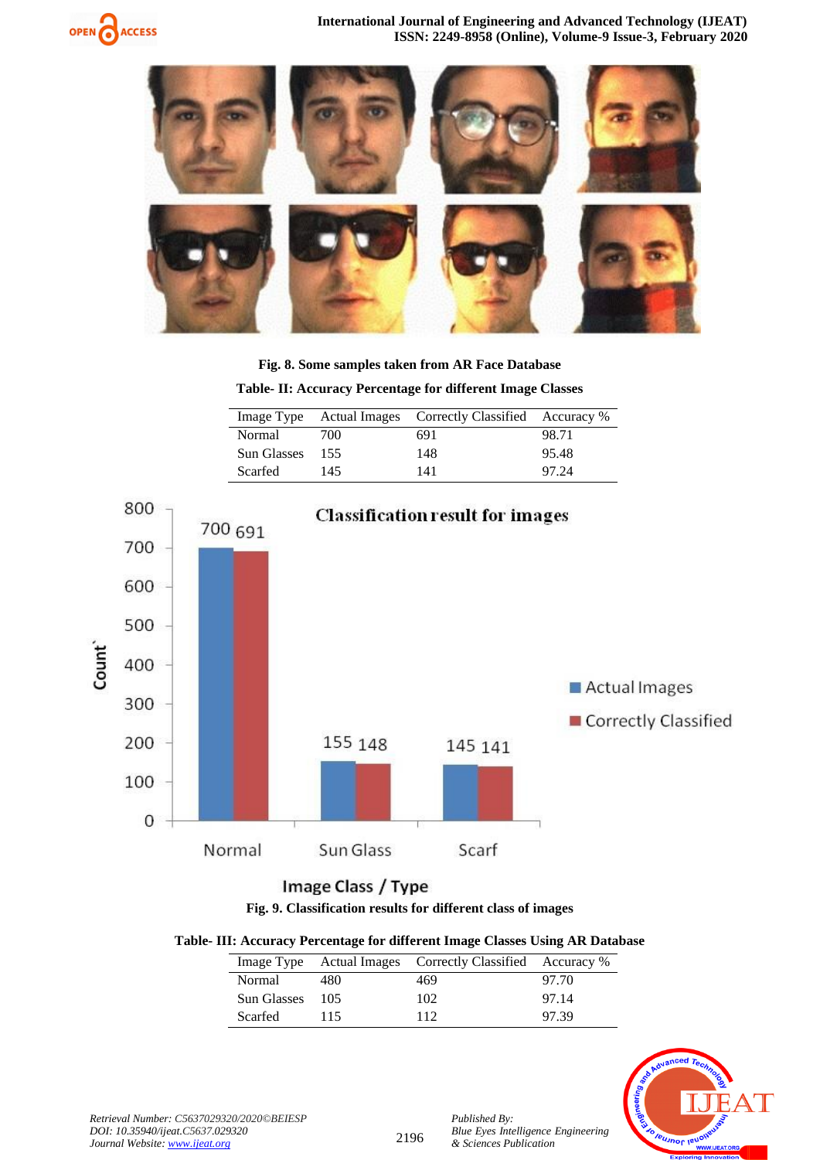

**International Journal of Engineering and Advanced Technology (IJEAT) ISSN: 2249-8958 (Online), Volume-9 Issue-3, February 2020**



**Fig. 8. Some samples taken from AR Face Database**

**Table- II: Accuracy Percentage for different Image Classes**

|                 |      | Image Type Actual Images Correctly Classified Accuracy % |       |
|-----------------|------|----------------------------------------------------------|-------|
| Normal          | 700. | 691                                                      | 98.71 |
| Sun Glasses 155 |      | 148                                                      | 95.48 |
| Scarfed         | 145  | 141                                                      | 97.24 |



# Image Class / Type

**Fig. 9. Classification results for different class of images**

|  |  | Table- III: Accuracy Percentage for different Image Classes Using AR Database |  |
|--|--|-------------------------------------------------------------------------------|--|

|                    |       | Image Type Actual Images Correctly Classified Accuracy % |       |
|--------------------|-------|----------------------------------------------------------|-------|
| Normal             | 480   | 469                                                      | 97.70 |
| <b>Sun Glasses</b> | - 105 | 102                                                      | 97.14 |
| Scarfed            | 115   | 112                                                      | 97.39 |



*Retrieval Number: C5637029320/2020©BEIESP DOI: 10.35940/ijeat.C5637.029320 Journal Website[: www.ijeat.org](http://www.ijeat.org/)*

*Published By:*

*& Sciences Publication*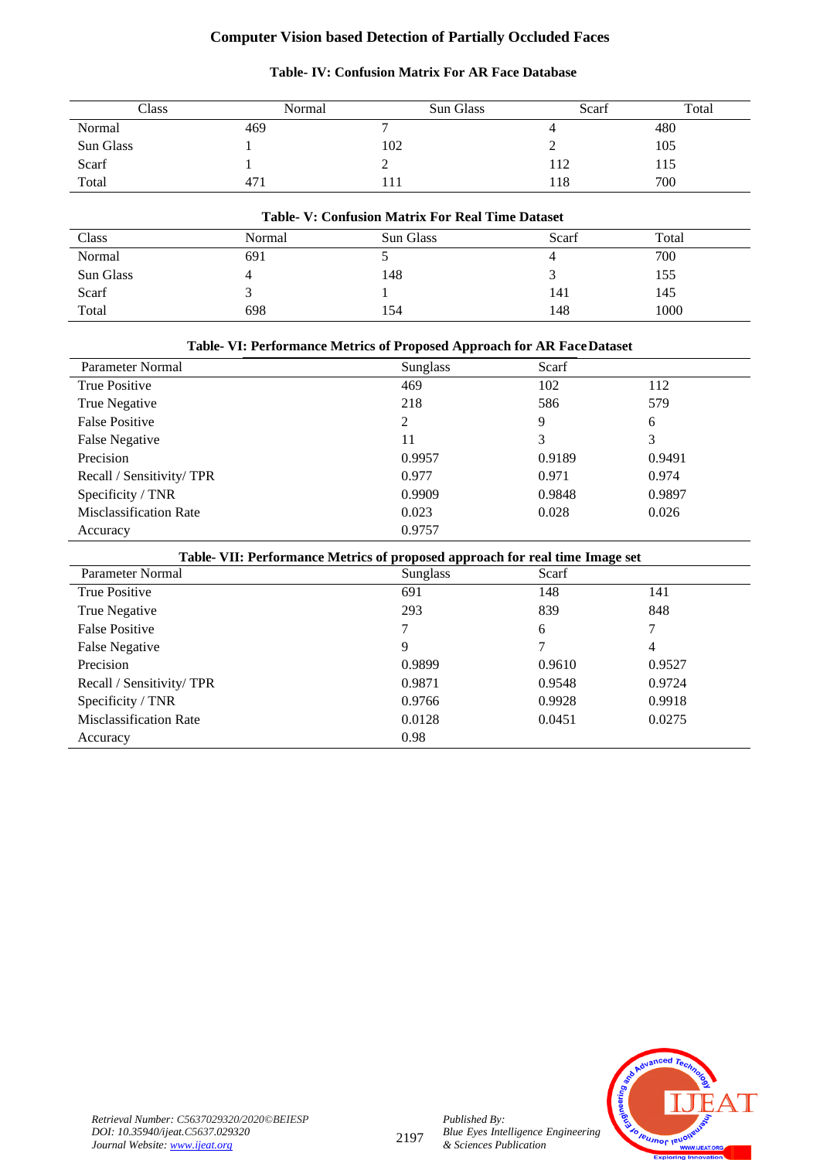| Class     | Normal          | Sun Glass | Scarf | Total |
|-----------|-----------------|-----------|-------|-------|
| Normal    | 469             |           |       | 480   |
| Sun Glass |                 | 102       |       | 105   |
| Scarf     |                 | ∼         | 112   | 115   |
| Total     | 47 <sub>1</sub> |           | 118   | 700   |

## **Table- V: Confusion Matrix For Real Time Dataset**

| Class     | Normal | Sun Glass | Scarf | Total |
|-----------|--------|-----------|-------|-------|
| Normal    | 691    | ັ         |       | 700   |
| Sun Glass |        | 148       |       | 155   |
| Scarf     |        |           | 141   | 145   |
| Total     | 698    | 154       | 148   | 1000  |

# **Table- VI: Performance Metrics of Proposed Approach for AR FaceDataset**

| Parameter Normal              | <b>Sunglass</b> | Scarf  |        |
|-------------------------------|-----------------|--------|--------|
| True Positive                 | 469             | 102    | 112    |
| True Negative                 | 218             | 586    | 579    |
| <b>False Positive</b>         | 2               | 9      | 6      |
| <b>False Negative</b>         | 11              | 3      | 3      |
| Precision                     | 0.9957          | 0.9189 | 0.9491 |
| Recall / Sensitivity/TPR      | 0.977           | 0.971  | 0.974  |
| Specificity / TNR             | 0.9909          | 0.9848 | 0.9897 |
| <b>Misclassification Rate</b> | 0.023           | 0.028  | 0.026  |
| Accuracy                      | 0.9757          |        |        |
|                               |                 |        |        |

| Table-VII: Performance Metrics of proposed approach for real time Image set |                 |        |        |  |
|-----------------------------------------------------------------------------|-----------------|--------|--------|--|
| Parameter Normal                                                            | <b>Sunglass</b> | Scarf  |        |  |
| True Positive                                                               | 691             | 148    | 141    |  |
| True Negative                                                               | 293             | 839    | 848    |  |
| <b>False Positive</b>                                                       | 7               | 6      |        |  |
| <b>False Negative</b>                                                       | 9               |        | 4      |  |
| Precision                                                                   | 0.9899          | 0.9610 | 0.9527 |  |
| Recall / Sensitivity/ TPR                                                   | 0.9871          | 0.9548 | 0.9724 |  |
| Specificity / TNR                                                           | 0.9766          | 0.9928 | 0.9918 |  |
| <b>Misclassification Rate</b>                                               | 0.0128          | 0.0451 | 0.0275 |  |
| Accuracy                                                                    | 0.98            |        |        |  |

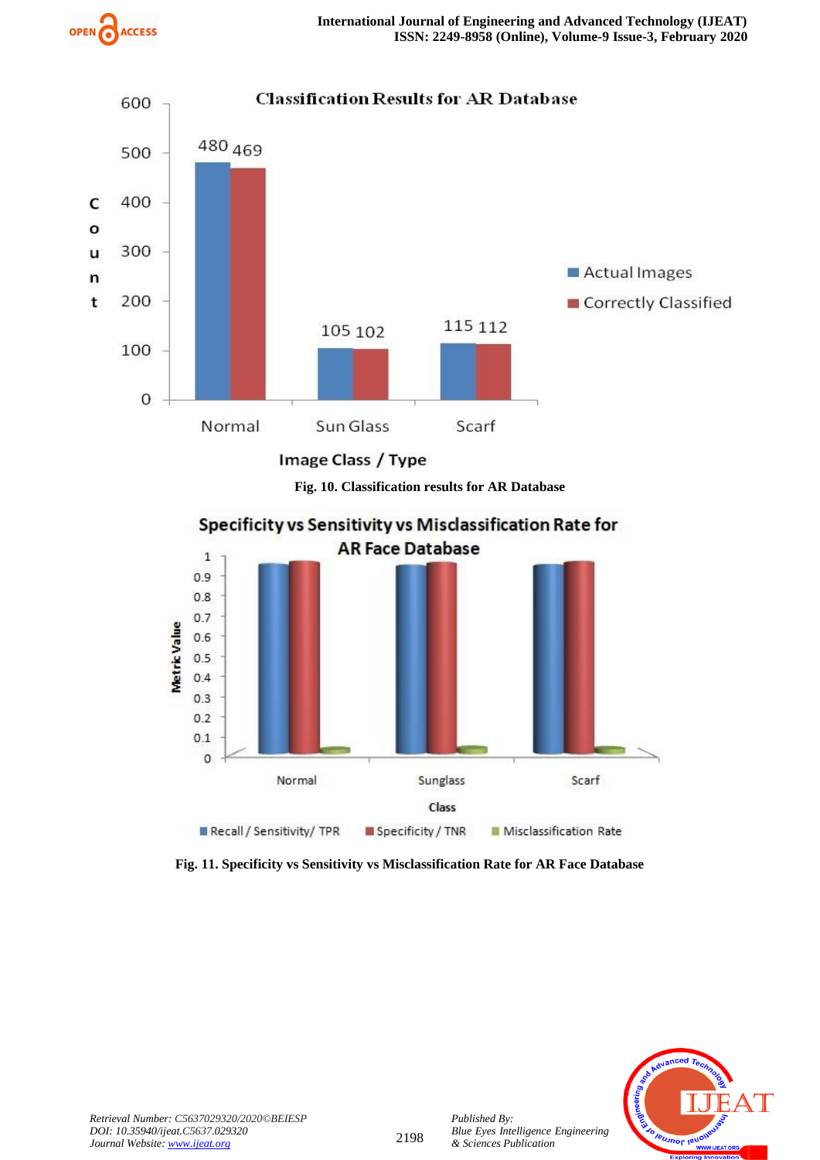



Image Class / Type

**Fig. 10. Classification results for AR Database**



Specificity vs Sensitivity vs Misclassification Rate for

**Fig. 11. Specificity vs Sensitivity vs Misclassification Rate for AR Face Database**



*Published By:*

*& Sciences Publication*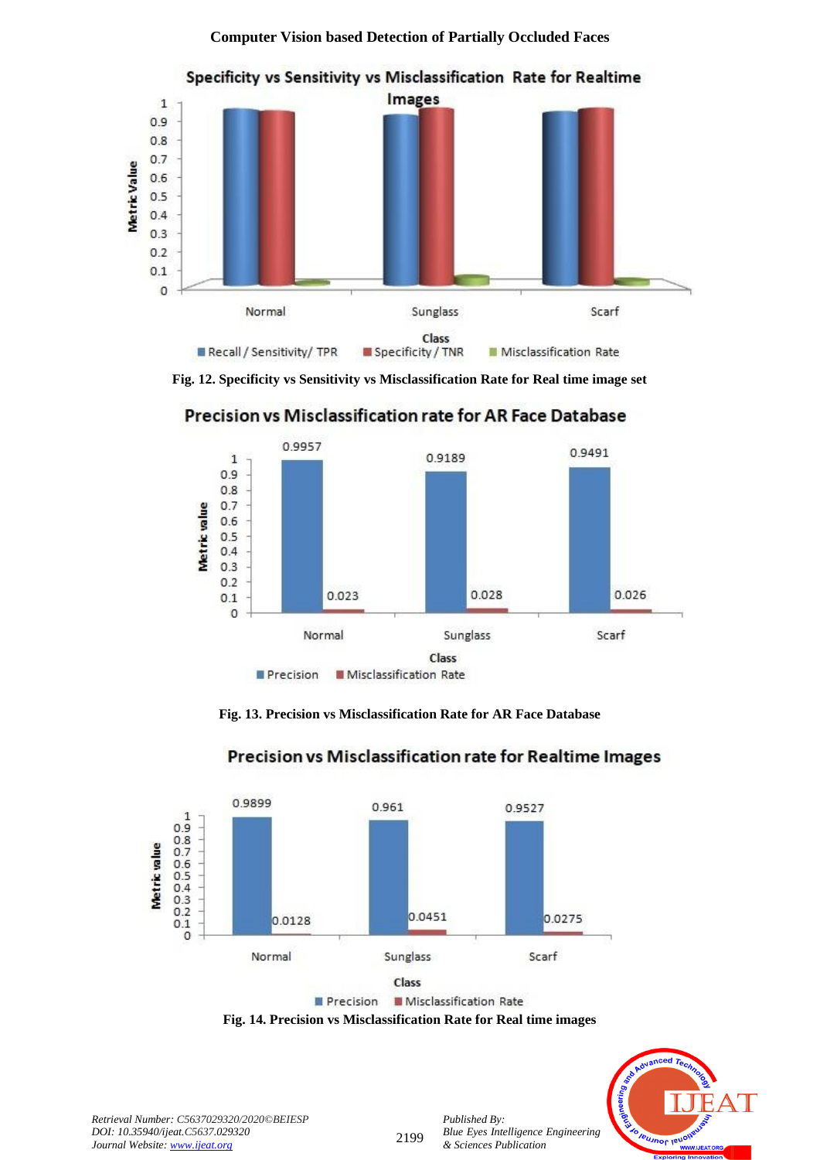



**Fig. 12. Specificity vs Sensitivity vs Misclassification Rate for Real time image set**



Precision vs Misclassification rate for AR Face Database

**Fig. 13. Precision vs Misclassification Rate for AR Face Database**



# Precision vs Misclassification rate for Realtime Images

**Fig. 14. Precision vs Misclassification Rate for Real time images**



*Retrieval Number: C5637029320/2020©BEIESP DOI: 10.35940/ijeat.C5637.029320 Journal Website[: www.ijeat.org](http://www.ijeat.org/)*

*Published By:*

*& Sciences Publication*